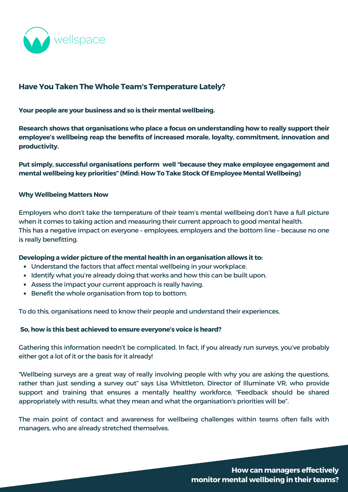

# **Have You Taken The Whole Team's Temperature Lately?**

**Your people are your business and so is their mental wellbeing.**

**Research shows that organisations who place a focus on understanding how to really support their employee's wellbeing reap the benefits of increased morale, loyalty, commitment, innovation and productivity.**

- Understand the factors that affect mental wellbeing in your workplace.
- Identify what you're already doing that works and how this can be built upon.
- Assess the impact your current approach is really having.
- Benefit the whole organisation from top to bottom.  $\bullet$

**Put simply, successful organisations perform well "because they make employee engagement and mental wellbeing key priorities" (Mind: How To Take Stock Of Employee Mental [Wellbeing\)](https://www.mind.org.uk/media-a/4664/resource_2_take_stock_of_mh_in_your_workplace_final.pdf)**

#### **Why Wellbeing Matters Now**

Employers who don't take the temperature of their team's mental wellbeing don't have a full picture when it comes to taking action and measuring their current approach to good mental health. This has a negative impact on everyone – employees, employers and the bottom line – because no one is really benefitting.

### **Developing a wider picture of the mental health in an organisation allows it to:**

To do this, organisations need to know their people and understand their experiences.

#### **So, how is this best achieved to ensure everyone's voice is heard?**

Gathering this information needn't be complicated. In fact, if you already run surveys, you've probably either got a lot of it or the basis for it already!

"Wellbeing surveys are a great way of really involving people with why you are asking the questions, rather than just sending a survey out" says Lisa [Whittleton,](https://www.illuminatevr.co.uk/) Director of Illuminate VR, who provide support and training that ensures a mentally healthy workforce, "Feedback should be shared appropriately with results, what they mean and what the organisation's priorities will be".

The main point of contact and awareness for wellbeing challenges within teams often falls with managers, who are already stretched themselves.

> **How can managers effectively monitor mental wellbeing in their teams?**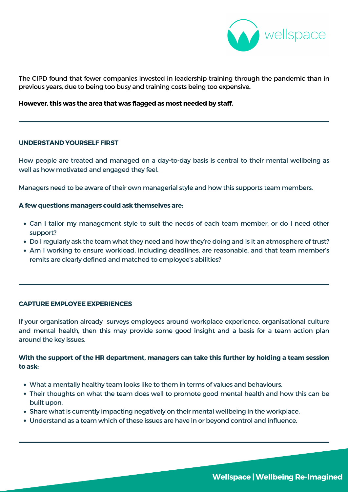- Can I tailor my management style to suit the needs of each team member, or do I need other support?
- Do I regularly ask the team what they need and how they're doing and is it an atmosphere of trust?
- Am I working to ensure workload, including deadlines, are reasonable, and that team member's remits are clearly defined and matched to employee's abilities?

#### **UNDERSTAND YOURSELF FIRST**

How people are treated and managed on a day-to-day basis is central to their mental wellbeing as well as how motivated and engaged they feel.

Managers need to be aware of their own managerial style and how this supports team members.

If your organisation already surveys employees around workplace experience, organisational culture and mental health, then this may provide some good insight and a basis for a team action plan around the key issues.

#### **A few questions managers could ask themselves are:**

- What a mentally healthy team looks like to them in terms of values and behaviours.
- Their thoughts on what the team does well to promote good mental health and how this can be built upon.
- Share what is currently impacting negatively on their mental wellbeing in the workplace.
- Understand as a team which of these issues are have in or beyond control and influence.

#### **CAPTURE EMPLOYEE EXPERIENCES**

**With the support of the HR department, managers can take this further by holding a team session to ask:**



The CIPD found that fewer companies invested in leadership training through the pandemic than in previous years, due to being too busy and training costs being too expensive**.**

## **However, this was the area that was flagged as most needed by staff.**

# **Wellspace |Wellbeing Re-Imagined**